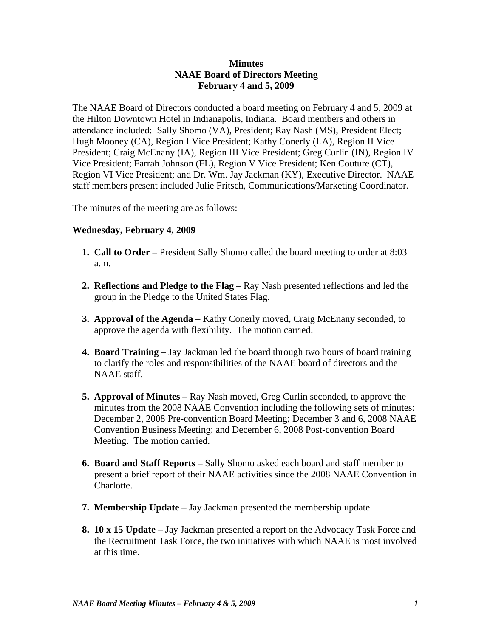## **Minutes NAAE Board of Directors Meeting February 4 and 5, 2009**

The NAAE Board of Directors conducted a board meeting on February 4 and 5, 2009 at the Hilton Downtown Hotel in Indianapolis, Indiana. Board members and others in attendance included: Sally Shomo (VA), President; Ray Nash (MS), President Elect; Hugh Mooney (CA), Region I Vice President; Kathy Conerly (LA), Region II Vice President; Craig McEnany (IA), Region III Vice President; Greg Curlin (IN), Region IV Vice President; Farrah Johnson (FL), Region V Vice President; Ken Couture (CT), Region VI Vice President; and Dr. Wm. Jay Jackman (KY), Executive Director. NAAE staff members present included Julie Fritsch, Communications/Marketing Coordinator.

The minutes of the meeting are as follows:

## **Wednesday, February 4, 2009**

- **1. Call to Order** President Sally Shomo called the board meeting to order at 8:03 a.m.
- **2. Reflections and Pledge to the Flag** Ray Nash presented reflections and led the group in the Pledge to the United States Flag.
- **3. Approval of the Agenda** Kathy Conerly moved, Craig McEnany seconded, to approve the agenda with flexibility. The motion carried.
- **4. Board Training** Jay Jackman led the board through two hours of board training to clarify the roles and responsibilities of the NAAE board of directors and the NAAE staff.
- **5. Approval of Minutes** Ray Nash moved, Greg Curlin seconded, to approve the minutes from the 2008 NAAE Convention including the following sets of minutes: December 2, 2008 Pre-convention Board Meeting; December 3 and 6, 2008 NAAE Convention Business Meeting; and December 6, 2008 Post-convention Board Meeting. The motion carried.
- **6. Board and Staff Reports** Sally Shomo asked each board and staff member to present a brief report of their NAAE activities since the 2008 NAAE Convention in Charlotte.
- **7. Membership Update** Jay Jackman presented the membership update.
- **8. 10 x 15 Update** Jay Jackman presented a report on the Advocacy Task Force and the Recruitment Task Force, the two initiatives with which NAAE is most involved at this time.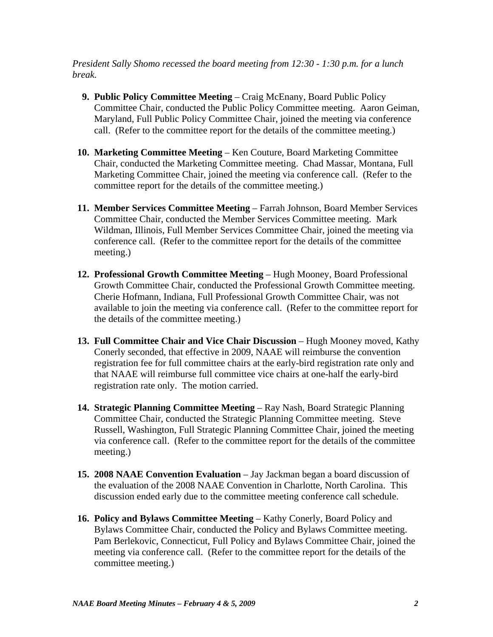*President Sally Shomo recessed the board meeting from 12:30 - 1:30 p.m. for a lunch break.*

- **9. Public Policy Committee Meeting** Craig McEnany, Board Public Policy Committee Chair, conducted the Public Policy Committee meeting. Aaron Geiman, Maryland, Full Public Policy Committee Chair, joined the meeting via conference call. (Refer to the committee report for the details of the committee meeting.)
- **10. Marketing Committee Meeting** Ken Couture, Board Marketing Committee Chair, conducted the Marketing Committee meeting. Chad Massar, Montana, Full Marketing Committee Chair, joined the meeting via conference call. (Refer to the committee report for the details of the committee meeting.)
- **11. Member Services Committee Meeting**  Farrah Johnson, Board Member Services Committee Chair, conducted the Member Services Committee meeting. Mark Wildman, Illinois, Full Member Services Committee Chair, joined the meeting via conference call. (Refer to the committee report for the details of the committee meeting.)
- **12. Professional Growth Committee Meeting** Hugh Mooney, Board Professional Growth Committee Chair, conducted the Professional Growth Committee meeting. Cherie Hofmann, Indiana, Full Professional Growth Committee Chair, was not available to join the meeting via conference call. (Refer to the committee report for the details of the committee meeting.)
- **13. Full Committee Chair and Vice Chair Discussion** Hugh Mooney moved, Kathy Conerly seconded, that effective in 2009, NAAE will reimburse the convention registration fee for full committee chairs at the early-bird registration rate only and that NAAE will reimburse full committee vice chairs at one-half the early-bird registration rate only. The motion carried.
- **14. Strategic Planning Committee Meeting** Ray Nash, Board Strategic Planning Committee Chair, conducted the Strategic Planning Committee meeting. Steve Russell, Washington, Full Strategic Planning Committee Chair, joined the meeting via conference call. (Refer to the committee report for the details of the committee meeting.)
- **15. 2008 NAAE Convention Evaluation** Jay Jackman began a board discussion of the evaluation of the 2008 NAAE Convention in Charlotte, North Carolina. This discussion ended early due to the committee meeting conference call schedule.
- **16. Policy and Bylaws Committee Meeting Kathy Conerly, Board Policy and** Bylaws Committee Chair, conducted the Policy and Bylaws Committee meeting. Pam Berlekovic, Connecticut, Full Policy and Bylaws Committee Chair, joined the meeting via conference call. (Refer to the committee report for the details of the committee meeting.)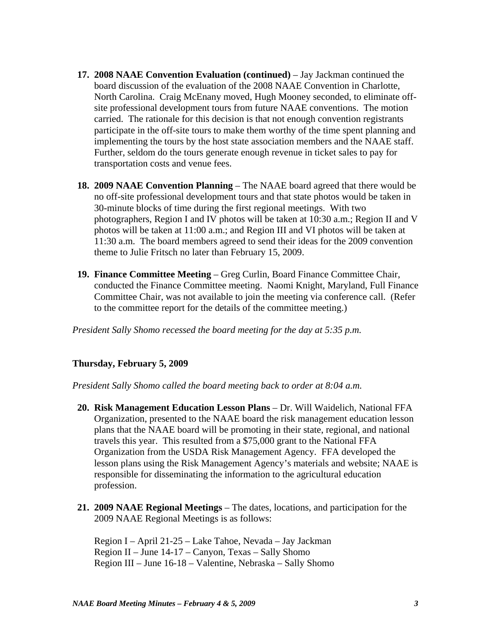- **17. 2008 NAAE Convention Evaluation (continued)** Jay Jackman continued the board discussion of the evaluation of the 2008 NAAE Convention in Charlotte, North Carolina. Craig McEnany moved, Hugh Mooney seconded, to eliminate offsite professional development tours from future NAAE conventions. The motion carried. The rationale for this decision is that not enough convention registrants participate in the off-site tours to make them worthy of the time spent planning and implementing the tours by the host state association members and the NAAE staff. Further, seldom do the tours generate enough revenue in ticket sales to pay for transportation costs and venue fees.
- **18. 2009 NAAE Convention Planning** The NAAE board agreed that there would be no off-site professional development tours and that state photos would be taken in 30-minute blocks of time during the first regional meetings. With two photographers, Region I and IV photos will be taken at 10:30 a.m.; Region II and V photos will be taken at 11:00 a.m.; and Region III and VI photos will be taken at 11:30 a.m. The board members agreed to send their ideas for the 2009 convention theme to Julie Fritsch no later than February 15, 2009.
- **19. Finance Committee Meeting**  Greg Curlin, Board Finance Committee Chair, conducted the Finance Committee meeting. Naomi Knight, Maryland, Full Finance Committee Chair, was not available to join the meeting via conference call. (Refer to the committee report for the details of the committee meeting.)

*President Sally Shomo recessed the board meeting for the day at 5:35 p.m.*

## **Thursday, February 5, 2009**

*President Sally Shomo called the board meeting back to order at 8:04 a.m.* 

- **20. Risk Management Education Lesson Plans** Dr. Will Waidelich, National FFA Organization, presented to the NAAE board the risk management education lesson plans that the NAAE board will be promoting in their state, regional, and national travels this year. This resulted from a \$75,000 grant to the National FFA Organization from the USDA Risk Management Agency. FFA developed the lesson plans using the Risk Management Agency's materials and website; NAAE is responsible for disseminating the information to the agricultural education profession.
- **21. 2009 NAAE Regional Meetings** The dates, locations, and participation for the 2009 NAAE Regional Meetings is as follows:

 Region I – April 21-25 – Lake Tahoe, Nevada – Jay Jackman Region II – June 14-17 – Canyon, Texas – Sally Shomo Region III – June 16-18 – Valentine, Nebraska – Sally Shomo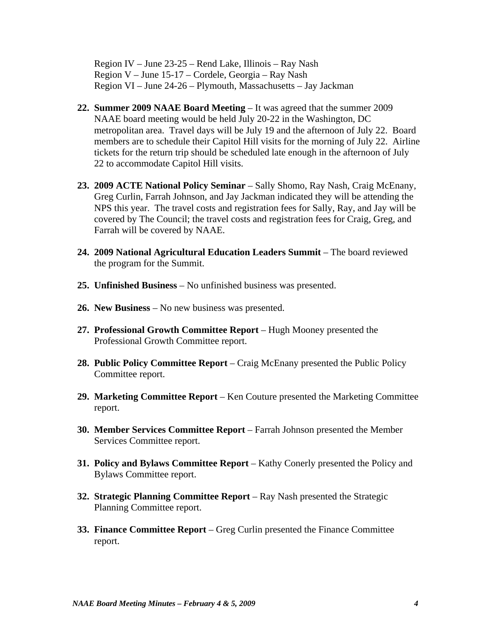Region IV – June 23-25 – Rend Lake, Illinois – Ray Nash Region V – June 15-17 – Cordele, Georgia – Ray Nash Region VI – June 24-26 – Plymouth, Massachusetts – Jay Jackman

- **22. Summer 2009 NAAE Board Meeting** It was agreed that the summer 2009 NAAE board meeting would be held July 20-22 in the Washington, DC metropolitan area. Travel days will be July 19 and the afternoon of July 22. Board members are to schedule their Capitol Hill visits for the morning of July 22. Airline tickets for the return trip should be scheduled late enough in the afternoon of July 22 to accommodate Capitol Hill visits.
- **23. 2009 ACTE National Policy Seminar** Sally Shomo, Ray Nash, Craig McEnany, Greg Curlin, Farrah Johnson, and Jay Jackman indicated they will be attending the NPS this year. The travel costs and registration fees for Sally, Ray, and Jay will be covered by The Council; the travel costs and registration fees for Craig, Greg, and Farrah will be covered by NAAE.
- **24. 2009 National Agricultural Education Leaders Summit** The board reviewed the program for the Summit.
- **25. Unfinished Business** No unfinished business was presented.
- **26. New Business** No new business was presented.
- **27. Professional Growth Committee Report** Hugh Mooney presented the Professional Growth Committee report.
- **28. Public Policy Committee Report** Craig McEnany presented the Public Policy Committee report.
- **29. Marketing Committee Report**  Ken Couture presented the Marketing Committee report.
- **30. Member Services Committee Report** Farrah Johnson presented the Member Services Committee report.
- **31. Policy and Bylaws Committee Report**  Kathy Conerly presented the Policy and Bylaws Committee report.
- **32. Strategic Planning Committee Report** Ray Nash presented the Strategic Planning Committee report.
- **33. Finance Committee Report**  Greg Curlin presented the Finance Committee report.